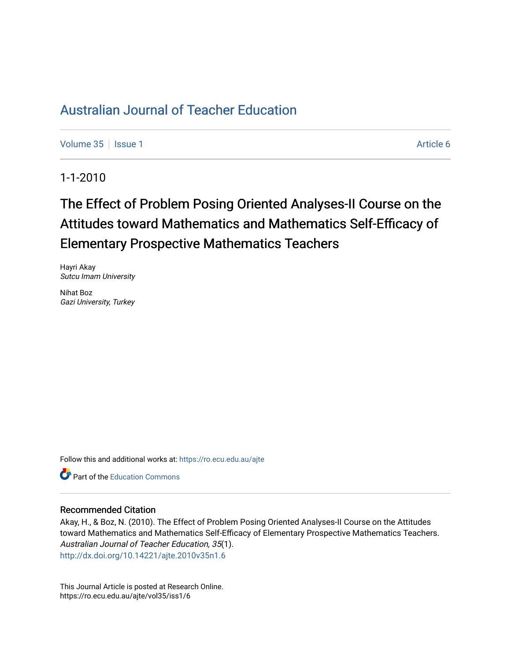[Volume 35](https://ro.ecu.edu.au/ajte/vol35) | [Issue 1](https://ro.ecu.edu.au/ajte/vol35/iss1) Article 6

1-1-2010

# The Effect of Problem Posing Oriented Analyses-II Course on the Attitudes toward Mathematics and Mathematics Self-Efficacy of Elementary Prospective Mathematics Teachers

Hayri Akay Sutcu Imam University

Nihat Boz Gazi University, Turkey

Follow this and additional works at: [https://ro.ecu.edu.au/ajte](https://ro.ecu.edu.au/ajte?utm_source=ro.ecu.edu.au%2Fajte%2Fvol35%2Fiss1%2F6&utm_medium=PDF&utm_campaign=PDFCoverPages) 

**P** Part of the Education Commons

#### Recommended Citation

Akay, H., & Boz, N. (2010). The Effect of Problem Posing Oriented Analyses-II Course on the Attitudes toward Mathematics and Mathematics Self-Efficacy of Elementary Prospective Mathematics Teachers. Australian Journal of Teacher Education, 35(1). <http://dx.doi.org/10.14221/ajte.2010v35n1.6>

This Journal Article is posted at Research Online. https://ro.ecu.edu.au/ajte/vol35/iss1/6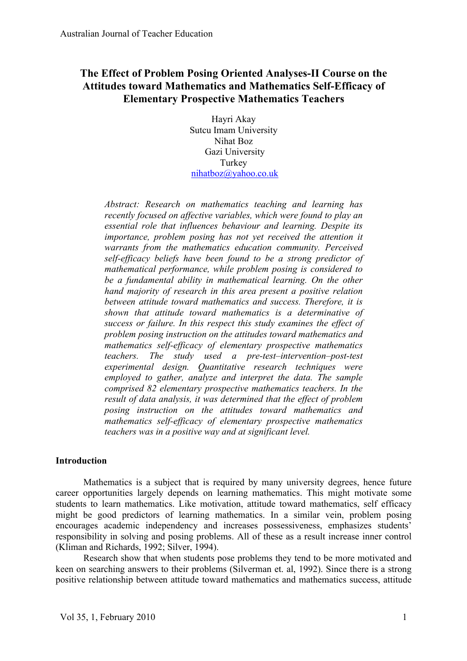# **The Effect of Problem Posing Oriented Analyses-II Course on the Attitudes toward Mathematics and Mathematics Self-Efficacy of Elementary Prospective Mathematics Teachers**

Hayri Akay Sutcu Imam University Nihat Boz Gazi University Turkey nihatboz@yahoo.co.uk

*Abstract: Research on mathematics teaching and learning has recently focused on affective variables, which were found to play an essential role that influences behaviour and learning. Despite its importance, problem posing has not yet received the attention it warrants from the mathematics education community. Perceived self-efficacy beliefs have been found to be a strong predictor of mathematical performance, while problem posing is considered to be a fundamental ability in mathematical learning. On the other hand majority of research in this area present a positive relation between attitude toward mathematics and success. Therefore, it is shown that attitude toward mathematics is a determinative of success or failure. In this respect this study examines the effect of problem posing instruction on the attitudes toward mathematics and mathematics self-efficacy of elementary prospective mathematics teachers. The study used a pre-test–intervention–post-test experimental design. Quantitative research techniques were employed to gather, analyze and interpret the data. The sample comprised 82 elementary prospective mathematics teachers. In the result of data analysis, it was determined that the effect of problem posing instruction on the attitudes toward mathematics and mathematics self-efficacy of elementary prospective mathematics teachers was in a positive way and at significant level.*

#### **Introduction**

Mathematics is a subject that is required by many university degrees, hence future career opportunities largely depends on learning mathematics. This might motivate some students to learn mathematics. Like motivation, attitude toward mathematics, self efficacy might be good predictors of learning mathematics. In a similar vein, problem posing encourages academic independency and increases possessiveness, emphasizes students' responsibility in solving and posing problems. All of these as a result increase inner control (Kliman and Richards, 1992; Silver, 1994).

Research show that when students pose problems they tend to be more motivated and keen on searching answers to their problems (Silverman et. al, 1992). Since there is a strong positive relationship between attitude toward mathematics and mathematics success, attitude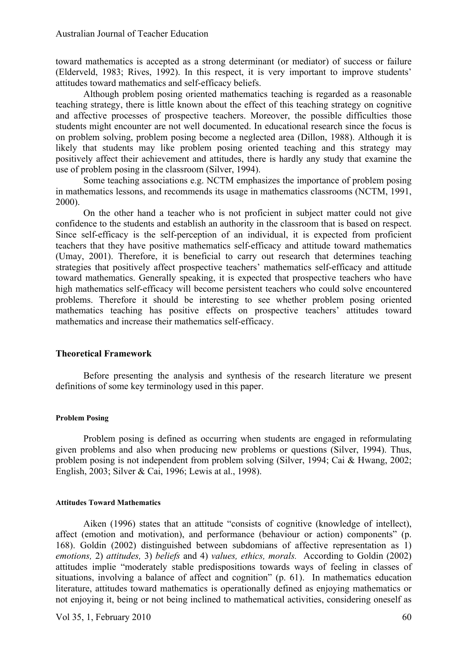toward mathematics is accepted as a strong determinant (or mediator) of success or failure (Elderveld, 1983; Rives, 1992). In this respect, it is very important to improve students' attitudes toward mathematics and self-efficacy beliefs.

Although problem posing oriented mathematics teaching is regarded as a reasonable teaching strategy, there is little known about the effect of this teaching strategy on cognitive and affective processes of prospective teachers. Moreover, the possible difficulties those students might encounter are not well documented. In educational research since the focus is on problem solving, problem posing become a neglected area (Dillon, 1988). Although it is likely that students may like problem posing oriented teaching and this strategy may positively affect their achievement and attitudes, there is hardly any study that examine the use of problem posing in the classroom (Silver, 1994).

Some teaching associations e.g. NCTM emphasizes the importance of problem posing in mathematics lessons, and recommends its usage in mathematics classrooms (NCTM, 1991, 2000).

On the other hand a teacher who is not proficient in subject matter could not give confidence to the students and establish an authority in the classroom that is based on respect. Since self-efficacy is the self-perception of an individual, it is expected from proficient teachers that they have positive mathematics self-efficacy and attitude toward mathematics (Umay, 2001). Therefore, it is beneficial to carry out research that determines teaching strategies that positively affect prospective teachers' mathematics self-efficacy and attitude toward mathematics. Generally speaking, it is expected that prospective teachers who have high mathematics self-efficacy will become persistent teachers who could solve encountered problems. Therefore it should be interesting to see whether problem posing oriented mathematics teaching has positive effects on prospective teachers' attitudes toward mathematics and increase their mathematics self-efficacy.

#### **Theoretical Framework**

Before presenting the analysis and synthesis of the research literature we present definitions of some key terminology used in this paper.

#### **Problem Posing**

Problem posing is defined as occurring when students are engaged in reformulating given problems and also when producing new problems or questions (Silver, 1994). Thus, problem posing is not independent from problem solving (Silver, 1994; Cai & Hwang, 2002; English, 2003; Silver & Cai, 1996; Lewis at al., 1998).

#### **Attitudes Toward Mathematics**

Aiken (1996) states that an attitude "consists of cognitive (knowledge of intellect), affect (emotion and motivation), and performance (behaviour or action) components" (p. 168). Goldin (2002) distinguished between subdomians of affective representation as 1) *emotions,* 2) *attitudes,* 3) *beliefs* and 4) *values, ethics, morals.* According to Goldin (2002) attitudes implie "moderately stable predispositions towards ways of feeling in classes of situations, involving a balance of affect and cognition" (p. 61). In mathematics education literature, attitudes toward mathematics is operationally defined as enjoying mathematics or not enjoying it, being or not being inclined to mathematical activities, considering oneself as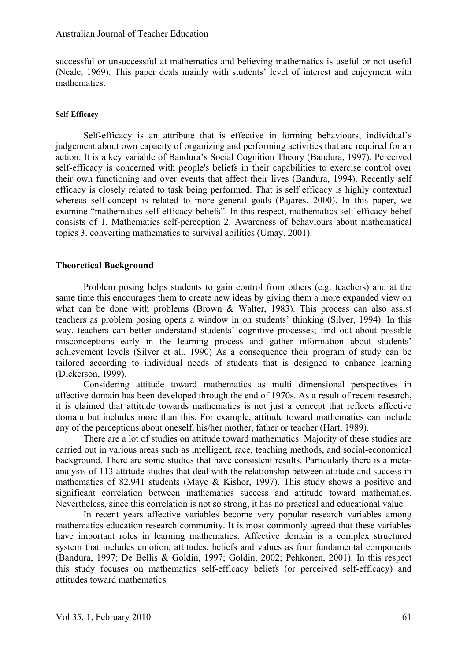successful or unsuccessful at mathematics and believing mathematics is useful or not useful (Neale, 1969). This paper deals mainly with students' level of interest and enjoyment with mathematics.

#### **Self-Efficacy**

Self-efficacy is an attribute that is effective in forming behaviours; individual's judgement about own capacity of organizing and performing activities that are required for an action. It is a key variable of Bandura's Social Cognition Theory (Bandura, 1997). Perceived self-efficacy is concerned with people's beliefs in their capabilities to exercise control over their own functioning and over events that affect their lives (Bandura, 1994). Recently self efficacy is closely related to task being performed. That is self efficacy is highly contextual whereas self-concept is related to more general goals (Pajares, 2000). In this paper, we examine "mathematics self-efficacy beliefs". In this respect, mathematics self-efficacy belief consists of 1. Mathematics self-perception 2. Awareness of behaviours about mathematical topics 3. converting mathematics to survival abilities (Umay, 2001).

#### **Theoretical Background**

Problem posing helps students to gain control from others (e.g. teachers) and at the same time this encourages them to create new ideas by giving them a more expanded view on what can be done with problems (Brown & Walter, 1983). This process can also assist teachers as problem posing opens a window in on students' thinking (Silver, 1994). In this way, teachers can better understand students' cognitive processes; find out about possible misconceptions early in the learning process and gather information about students' achievement levels (Silver et al., 1990) As a consequence their program of study can be tailored according to individual needs of students that is designed to enhance learning (Dickerson, 1999).

Considering attitude toward mathematics as multi dimensional perspectives in affective domain has been developed through the end of 1970s. As a result of recent research, it is claimed that attitude towards mathematics is not just a concept that reflects affective domain but includes more than this. For example, attitude toward mathematics can include any of the perceptions about oneself, his/her mother, father or teacher (Hart, 1989).

There are a lot of studies on attitude toward mathematics. Majority of these studies are carried out in various areas such as intelligent, race, teaching methods, and social-economical background. There are some studies that have consistent results. Particularly there is a metaanalysis of 113 attitude studies that deal with the relationship between attitude and success in mathematics of 82.941 students (Maye & Kishor, 1997). This study shows a positive and significant correlation between mathematics success and attitude toward mathematics. Nevertheless, since this correlation is not so strong, it has no practical and educational value.

In recent years affective variables become very popular research variables among mathematics education research community. It is most commonly agreed that these variables have important roles in learning mathematics. Affective domain is a complex structured system that includes emotion, attitudes, beliefs and values as four fundamental components (Bandura, 1997; De Bellis & Goldin, 1997; Goldin, 2002; Pehkonen, 2001). In this respect this study focuses on mathematics self-efficacy beliefs (or perceived self-efficacy) and attitudes toward mathematics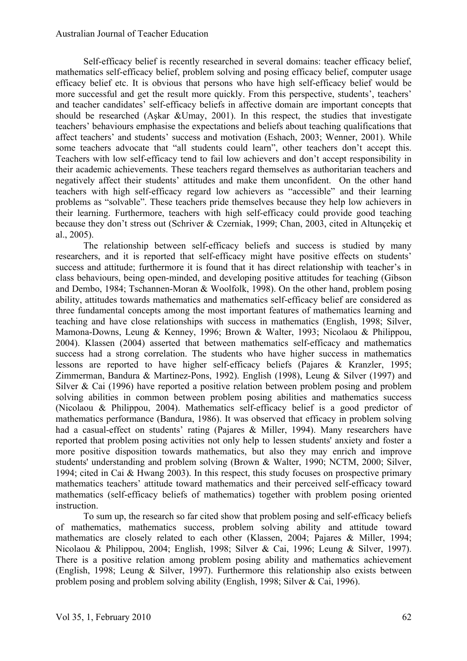Self-efficacy belief is recently researched in several domains: teacher efficacy belief, mathematics self-efficacy belief, problem solving and posing efficacy belief, computer usage efficacy belief etc. It is obvious that persons who have high self-efficacy belief would be more successful and get the result more quickly. From this perspective, students', teachers' and teacher candidates' self-efficacy beliefs in affective domain are important concepts that should be researched (Aşkar &Umay, 2001). In this respect, the studies that investigate teachers' behaviours emphasise the expectations and beliefs about teaching qualifications that affect teachers' and students' success and motivation (Eshach, 2003; Wenner, 2001). While some teachers advocate that "all students could learn", other teachers don't accept this. Teachers with low self-efficacy tend to fail low achievers and don't accept responsibility in their academic achievements. These teachers regard themselves as authoritarian teachers and negatively affect their students' attitudes and make them unconfident. On the other hand teachers with high self-efficacy regard low achievers as "accessible" and their learning problems as "solvable". These teachers pride themselves because they help low achievers in their learning. Furthermore, teachers with high self-efficacy could provide good teaching because they don't stress out (Schriver & Czerniak, 1999; Chan, 2003, cited in Altunçekiç et al., 2005).

The relationship between self-efficacy beliefs and success is studied by many researchers, and it is reported that self-efficacy might have positive effects on students' success and attitude; furthermore it is found that it has direct relationship with teacher's in class behaviours, being open-minded, and developing positive attitudes for teaching (Gibson and Dembo, 1984; Tschannen-Moran & Woolfolk, 1998). On the other hand, problem posing ability, attitudes towards mathematics and mathematics self-efficacy belief are considered as three fundamental concepts among the most important features of mathematics learning and teaching and have close relationships with success in mathematics (English, 1998; Silver, Mamona-Downs, Leung & Kenney, 1996; Brown & Walter, 1993; Nicolaou & Philippou, 2004). Klassen (2004) asserted that between mathematics self-efficacy and mathematics success had a strong correlation. The students who have higher success in mathematics lessons are reported to have higher self-efficacy beliefs (Pajares & Kranzler, 1995; Zimmerman, Bandura & Martinez-Pons, 1992). English (1998), Leung & Silver (1997) and Silver & Cai (1996) have reported a positive relation between problem posing and problem solving abilities in common between problem posing abilities and mathematics success (Nicolaou & Philippou, 2004). Mathematics self-efficacy belief is a good predictor of mathematics performance (Bandura, 1986). It was observed that efficacy in problem solving had a casual-effect on students' rating (Pajares & Miller, 1994). Many researchers have reported that problem posing activities not only help to lessen students' anxiety and foster a more positive disposition towards mathematics, but also they may enrich and improve students' understanding and problem solving (Brown & Walter, 1990; NCTM, 2000; Silver, 1994; cited in Cai & Hwang 2003). In this respect, this study focuses on prospective primary mathematics teachers' attitude toward mathematics and their perceived self-efficacy toward mathematics (self-efficacy beliefs of mathematics) together with problem posing oriented instruction.

To sum up, the research so far cited show that problem posing and self-efficacy beliefs of mathematics, mathematics success, problem solving ability and attitude toward mathematics are closely related to each other (Klassen, 2004; Pajares & Miller, 1994; Nicolaou & Philippou, 2004; English, 1998; Silver & Cai, 1996; Leung & Silver, 1997). There is a positive relation among problem posing ability and mathematics achievement (English, 1998; Leung & Silver, 1997). Furthermore this relationship also exists between problem posing and problem solving ability (English, 1998; Silver & Cai, 1996).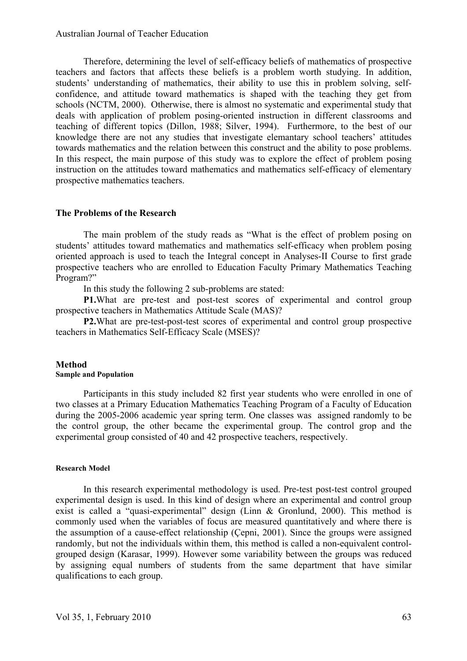Therefore, determining the level of self-efficacy beliefs of mathematics of prospective teachers and factors that affects these beliefs is a problem worth studying. In addition, students' understanding of mathematics, their ability to use this in problem solving, selfconfidence, and attitude toward mathematics is shaped with the teaching they get from schools (NCTM, 2000). Otherwise, there is almost no systematic and experimental study that deals with application of problem posing-oriented instruction in different classrooms and teaching of different topics (Dillon, 1988; Silver, 1994). Furthermore, to the best of our knowledge there are not any studies that investigate elemantary school teachers' attitudes towards mathematics and the relation between this construct and the ability to pose problems. In this respect, the main purpose of this study was to explore the effect of problem posing instruction on the attitudes toward mathematics and mathematics self-efficacy of elementary prospective mathematics teachers.

#### **The Problems of the Research**

The main problem of the study reads as "What is the effect of problem posing on students' attitudes toward mathematics and mathematics self-efficacy when problem posing oriented approach is used to teach the Integral concept in Analyses-II Course to first grade prospective teachers who are enrolled to Education Faculty Primary Mathematics Teaching Program?"

In this study the following 2 sub-problems are stated:

**P1.**What are pre-test and post-test scores of experimental and control group prospective teachers in Mathematics Attitude Scale (MAS)?

**P2.**What are pre-test-post-test scores of experimental and control group prospective teachers in Mathematics Self-Efficacy Scale (MSES)?

## **Method**

#### **Sample and Population**

Participants in this study included 82 first year students who were enrolled in one of two classes at a Primary Education Mathematics Teaching Program of a Faculty of Education during the 2005-2006 academic year spring term. One classes was assigned randomly to be the control group, the other became the experimental group. The control grop and the experimental group consisted of 40 and 42 prospective teachers, respectively.

#### **Research Model**

In this research experimental methodology is used. Pre-test post-test control grouped experimental design is used. In this kind of design where an experimental and control group exist is called a "quasi-experimental" design (Linn & Gronlund, 2000). This method is commonly used when the variables of focus are measured quantitatively and where there is the assumption of a cause-effect relationship (Çepni, 2001). Since the groups were assigned randomly, but not the individuals within them, this method is called a non-equivalent controlgrouped design (Karasar, 1999). However some variability between the groups was reduced by assigning equal numbers of students from the same department that have similar qualifications to each group.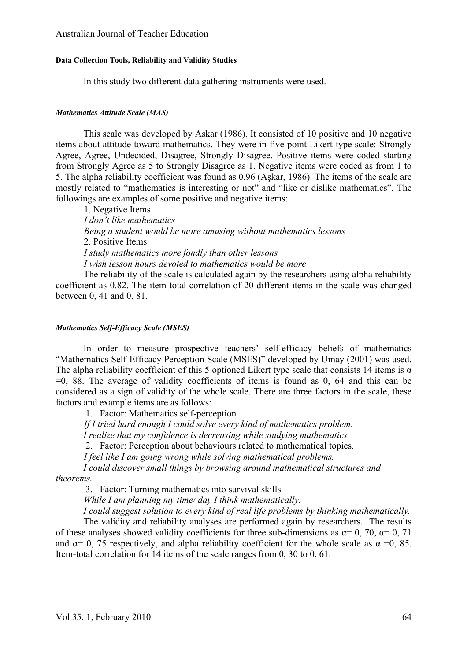#### **Data Collection Tools, Reliability and Validity Studies**

In this study two different data gathering instruments were used.

#### *Mathematics Attitude Scale (MAS)*

This scale was developed by Aşkar (1986). It consisted of 10 positive and 10 negative items about attitude toward mathematics. They were in five-point Likert-type scale: Strongly Agree, Agree, Undecided, Disagree, Strongly Disagree. Positive items were coded starting from Strongly Agree as 5 to Strongly Disagree as 1. Negative items were coded as from 1 to 5. The alpha reliability coefficient was found as 0.96 (Aşkar, 1986). The items of the scale are mostly related to "mathematics is interesting or not" and "like or dislike mathematics". The followings are examples of some positive and negative items:

1. Negative Items *I don't like mathematics Being a student would be more amusing without mathematics lessons*  2. Positive Items *I study mathematics more fondly than other lessons I wish lesson hours devoted to mathematics would be more* 

The reliability of the scale is calculated again by the researchers using alpha reliability coefficient as 0.82. The item-total correlation of 20 different items in the scale was changed between 0, 41 and 0, 81.

#### *Mathematics Self-Efficacy Scale (MSES)*

In order to measure prospective teachers' self-efficacy beliefs of mathematics "Mathematics Self-Efficacy Perception Scale (MSES)" developed by Umay (2001) was used. The alpha reliability coefficient of this 5 optioned Likert type scale that consists 14 items is  $\alpha$  $=0$ , 88. The average of validity coefficients of items is found as 0, 64 and this can be considered as a sign of validity of the whole scale. There are three factors in the scale, these factors and example items are as follows:

1. Factor: Mathematics self-perception

*If I tried hard enough I could solve every kind of mathematics problem.* 

*I realize that my confidence is decreasing while studying mathematics.*

2. Factor: Perception about behaviours related to mathematical topics.

*I feel like I am going wrong while solving mathematical problems.*

*I could discover small things by browsing around mathematical structures and theorems.*

3. Factor: Turning mathematics into survival skills

*While I am planning my time/ day I think mathematically.*

*I could suggest solution to every kind of real life problems by thinking mathematically.* 

The validity and reliability analyses are performed again by researchers. The results of these analyses showed validity coefficients for three sub-dimensions as  $\alpha = 0$ , 70,  $\alpha = 0$ , 71 and  $\alpha$ = 0, 75 respectively, and alpha reliability coefficient for the whole scale as  $\alpha$  =0, 85. Item-total correlation for 14 items of the scale ranges from 0, 30 to 0, 61.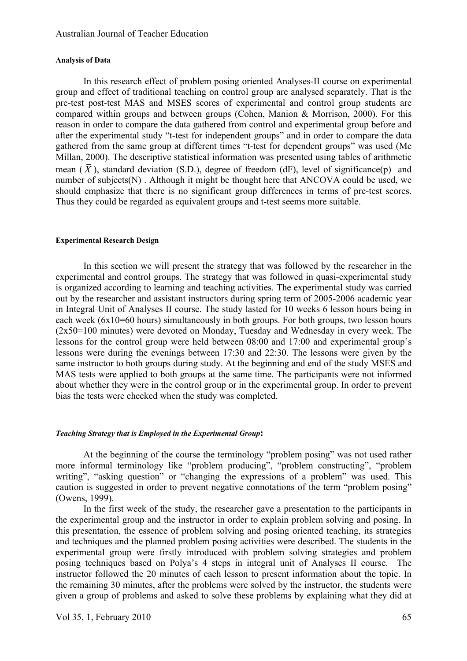#### **Analysis of Data**

In this research effect of problem posing oriented Analyses-II course on experimental group and effect of traditional teaching on control group are analysed separately. That is the pre-test post-test MAS and MSES scores of experimental and control group students are compared within groups and between groups (Cohen, Manion & Morrison, 2000). For this reason in order to compare the data gathered from control and experimental group before and after the experimental study "t-test for independent groups" and in order to compare the data gathered from the same group at different times "t-test for dependent groups" was used (Mc Millan, 2000). The descriptive statistical information was presented using tables of arithmetic mean  $(\bar{X})$ , standard deviation (S.D.), degree of freedom (dF), level of significance(p) and number of subjects(N) . Although it might be thought here that ANCOVA could be used, we should emphasize that there is no significant group differences in terms of pre-test scores. Thus they could be regarded as equivalent groups and t-test seems more suitable.

#### **Experimental Research Design**

In this section we will present the strategy that was followed by the researcher in the experimental and control groups. The strategy that was followed in quasi-experimental study is organized according to learning and teaching activities. The experimental study was carried out by the researcher and assistant instructors during spring term of 2005-2006 academic year in Integral Unit of Analyses II course. The study lasted for 10 weeks 6 lesson hours being in each week (6x10=60 hours) simultaneously in both groups. For both groups, two lesson hours (2x50=100 minutes) were devoted on Monday, Tuesday and Wednesday in every week. The lessons for the control group were held between 08:00 and 17:00 and experimental group's lessons were during the evenings between 17:30 and 22:30. The lessons were given by the same instructor to both groups during study. At the beginning and end of the study MSES and MAS tests were applied to both groups at the same time. The participants were not informed about whether they were in the control group or in the experimental group. In order to prevent bias the tests were checked when the study was completed.

#### *Teaching Strategy that is Employed in the Experimental Group***:**

At the beginning of the course the terminology "problem posing" was not used rather more informal terminology like "problem producing", "problem constructing", "problem writing", "asking question" or "changing the expressions of a problem" was used. This caution is suggested in order to prevent negative connotations of the term "problem posing" (Owens, 1999).

In the first week of the study, the researcher gave a presentation to the participants in the experimental group and the instructor in order to explain problem solving and posing. In this presentation, the essence of problem solving and posing oriented teaching, its strategies and techniques and the planned problem posing activities were described. The students in the experimental group were firstly introduced with problem solving strategies and problem posing techniques based on Polya's 4 steps in integral unit of Analyses II course. The instructor followed the 20 minutes of each lesson to present information about the topic. In the remaining 30 minutes, after the problems were solved by the instructor, the students were given a group of problems and asked to solve these problems by explaining what they did at

Vol 35, 1, February 2010 65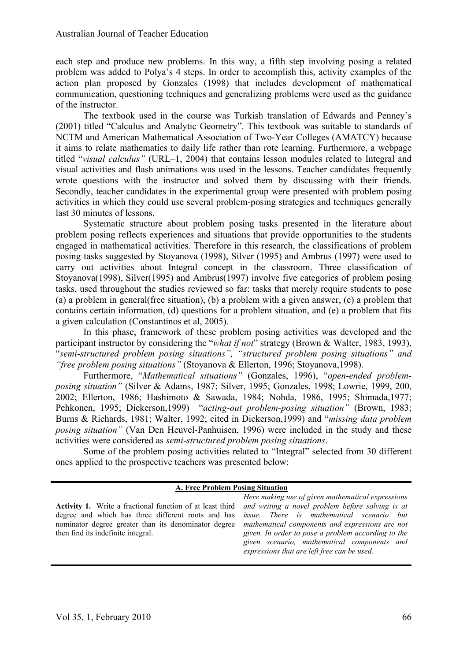each step and produce new problems. In this way, a fifth step involving posing a related problem was added to Polya's 4 steps. In order to accomplish this, activity examples of the action plan proposed by Gonzales (1998) that includes development of mathematical communication, questioning techniques and generalizing problems were used as the guidance of the instructor.

The textbook used in the course was Turkish translation of Edwards and Penney's (2001) titled "Calculus and Analytic Geometry". This textbook was suitable to standards of NCTM and American Mathematical Association of Two-Year Colleges (AMATCY) because it aims to relate mathematics to daily life rather than rote learning. Furthermore, a webpage titled "*visual calculus"* (URL–1, 2004) that contains lesson modules related to Integral and visual activities and flash animations was used in the lessons. Teacher candidates frequently wrote questions with the instructor and solved them by discussing with their friends. Secondly, teacher candidates in the experimental group were presented with problem posing activities in which they could use several problem-posing strategies and techniques generally last 30 minutes of lessons.

Systematic structure about problem posing tasks presented in the literature about problem posing reflects experiences and situations that provide opportunities to the students engaged in mathematical activities. Therefore in this research, the classifications of problem posing tasks suggested by Stoyanova (1998), Silver (1995) and Ambrus (1997) were used to carry out activities about Integral concept in the classroom. Three classification of Stoyanova(1998), Silver(1995) and Ambrus(1997) involve five categories of problem posing tasks, used throughout the studies reviewed so far: tasks that merely require students to pose (a) a problem in general(free situation), (b) a problem with a given answer, (c) a problem that contains certain information, (d) questions for a problem situation, and (e) a problem that fits a given calculation (Constantinos et al, 2005).

In this phase, framework of these problem posing activities was developed and the participant instructor by considering the "*what if not*" strategy (Brown & Walter, 1983, 1993), "*semi-structured problem posing situations", "structured problem posing situations" and "free problem posing situations"* (Stoyanova & Ellerton, 1996; Stoyanova,1998).

Furthermore, "*Mathematical situations"* (Gonzales, 1996), "*open-ended problemposing situation"* (Silver & Adams, 1987; Silver, 1995; Gonzales, 1998; Lowrie, 1999, 200, 2002; Ellerton, 1986; Hashimoto & Sawada, 1984; Nohda, 1986, 1995; Shimada,1977; Pehkonen, 1995; Dickerson,1999) "*acting-out problem-posing situation"* (Brown, 1983; Burns & Richards, 1981; Walter, 1992; cited in Dickerson,1999) and "*missing data problem posing situation"* (Van Den Heuvel-Panhuisen, 1996) were included in the study and these activities were considered as *semi-structured problem posing situations*.

Some of the problem posing activities related to "Integral" selected from 30 different ones applied to the prospective teachers was presented below:

| A. Free Problem Posing Situation                                                                                                                                                                                     |                                                                                                                                                                                                                                                                                                                                                           |  |  |  |  |  |  |
|----------------------------------------------------------------------------------------------------------------------------------------------------------------------------------------------------------------------|-----------------------------------------------------------------------------------------------------------------------------------------------------------------------------------------------------------------------------------------------------------------------------------------------------------------------------------------------------------|--|--|--|--|--|--|
| <b>Activity 1.</b> Write a fractional function of at least third<br>degree and which has three different roots and has<br>nominator degree greater than its denominator degree<br>then find its indefinite integral. | Here making use of given mathematical expressions<br>and writing a novel problem before solving is at<br>issue. There is mathematical scenario but<br>mathematical components and expressions are not<br>given. In order to pose a problem according to the<br>given scenario, mathematical components and<br>expressions that are left free can be used. |  |  |  |  |  |  |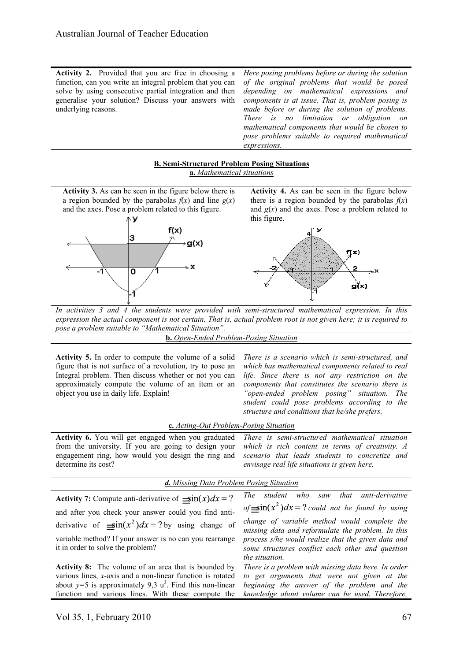|--|

#### **B. Semi-Structured Problem Posing Situations**

**a.** *Mathematical situations*

**Activity 3.** As can be seen in the figure below there is **Activity 4.** As can be seen in the figure below a region bounded by the parabolas  $f(x)$  and line  $g(x)$ there is a region bounded by the parabolas  $f(x)$ and the axes. Pose a problem related to this figure. and  $g(x)$  and the axes. Pose a problem related to this figure. NУ  $f(x)$ 3 ∍g(x)  $f(x)$  $\overline{\mathfrak{o}}$ g(̃x) *In activities 3 and 4 the students were provided with semi-structured mathematical expression. In this expression the actual component is not certain. That is, actual problem root is not given here; it is required to pose a problem suitable to "Mathematical Situation".* **b.** *Open-Ended Problem-Posing Situation* **Activity 5.** In order to compute the volume of a solid *There is a scenario which is semi-structured, and*  figure that is not surface of a revolution, try to pose an *which has mathematical components related to real*  Integral problem. Then discuss whether or not you can *life. Since there is not any restriction on the*  approximately compute the volume of an item or an *components that constitutes the scenario there is*  object you use in daily life. Explain! *"open-ended problem posing" situation. The student could pose problems according to the structure and conditions that he/she prefers.*  **c.** *Acting-Out Problem-Posing Situation* **Activity 6.** You will get engaged when you graduated *There is semi-structured mathematical situation*  from the university. If you are going to design your *which is rich content in terms of creativity. A*  engagement ring, how would you design the ring and *scenario that leads students to concretize and*  determine its cost? *envisage real life situations is given here. d. Missing Data Problem Posing Situation*

| Activity 7: Compute anti-derivative of $\sin(x)dx = ?$        | who saw<br><i>that</i> anti-derivative<br>The<br>student                                                |
|---------------------------------------------------------------|---------------------------------------------------------------------------------------------------------|
| and after you check your answer could you find anti-          | of $\sin(x^2)dx = ?$ could not be found by using                                                        |
| derivative of $\sin(x^2)dx = ?$ by using change of            | change of variable method would complete the                                                            |
| variable method? If your answer is no can you rearrange       | missing data and reformulate the problem. In this<br>process s/he would realize that the given data and |
| it in order to solve the problem?                             | some structures conflict each other and question                                                        |
|                                                               | the situation.                                                                                          |
| <b>Activity 8:</b> The volume of an area that is bounded by   | There is a problem with missing data here. In order                                                     |
| various lines, $x$ -axis and a non-linear function is rotated | to get arguments that were not given at the                                                             |
| about $y=5$ is approximately 9,3 $u^3$ . Find this non-linear | beginning the answer of the problem and the                                                             |
| function and various lines. With these compute the            | knowledge about volume can be used. Therefore,                                                          |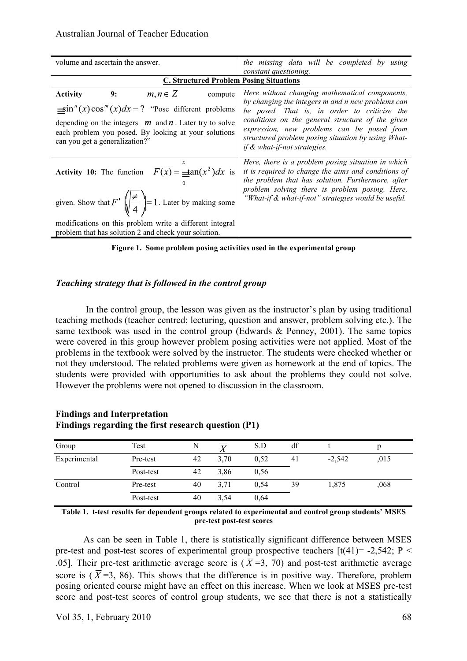| volume and ascertain the answer.                                                                                                                     | the missing data will be completed by using                                                                                                                                                                      |  |  |  |  |  |
|------------------------------------------------------------------------------------------------------------------------------------------------------|------------------------------------------------------------------------------------------------------------------------------------------------------------------------------------------------------------------|--|--|--|--|--|
|                                                                                                                                                      | constant questioning.                                                                                                                                                                                            |  |  |  |  |  |
| <b>C. Structured Problem Posing Situations</b>                                                                                                       |                                                                                                                                                                                                                  |  |  |  |  |  |
| 9:<br>$m, n \in \mathbb{Z}$<br><b>Activity</b><br>compute                                                                                            | Here without changing mathematical components,<br>by changing the integers m and n new problems can                                                                                                              |  |  |  |  |  |
| $\sin^{n}(x)\cos^{m}(x)dx = ?$ "Pose different problems"                                                                                             | be posed. That is, in order to criticise the                                                                                                                                                                     |  |  |  |  |  |
| depending on the integers $m$ and $n$ . Later try to solve<br>each problem you posed. By looking at your solutions<br>can you get a generalization?" | conditions on the general structure of the given<br>expression, new problems can be posed from<br>structured problem posing situation by using What-<br>if & what-if-not strategies.                             |  |  |  |  |  |
| <b>Activity 10:</b> The function $F(x) = \frac{1}{x} \tan(x^2) dx$ is                                                                                | Here, there is a problem posing situation in which<br>it is required to change the aims and conditions of<br>the problem that has solution. Furthermore, after<br>problem solving there is problem posing. Here, |  |  |  |  |  |
| given. Show that $F'\left(\frac{z}{4}\right) = 1$ . Later by making some                                                                             | "What-if & what-if-not" strategies would be useful.                                                                                                                                                              |  |  |  |  |  |
| modifications on this problem write a different integral<br>problem that has solution 2 and check your solution.                                     |                                                                                                                                                                                                                  |  |  |  |  |  |

**Figure 1. Some problem posing activities used in the experimental group**

#### *Teaching strategy that is followed in the control group*

In the control group, the lesson was given as the instructor's plan by using traditional teaching methods (teacher centred; lecturing, question and answer, problem solving etc.). The same textbook was used in the control group (Edwards & Penney, 2001). The same topics were covered in this group however problem posing activities were not applied. Most of the problems in the textbook were solved by the instructor. The students were checked whether or not they understood. The related problems were given as homework at the end of topics. The students were provided with opportunities to ask about the problems they could not solve. However the problems were not opened to discussion in the classroom.

| Findings regarding the first research question (P1) |           |    |      |      |       |          |      |  |  |
|-----------------------------------------------------|-----------|----|------|------|-------|----------|------|--|--|
| Group                                               | Test      |    |      | S.D  | df    |          |      |  |  |
| Experimental                                        | Pre-test  | 42 | 3.70 | 0.52 | $-4i$ | $-2.542$ | .015 |  |  |
|                                                     | Post-test | 42 | 3.86 | 0.56 |       |          |      |  |  |
| Control                                             | Pre-test  | 40 | 3.71 | 0.54 | 39    | 1.875    | ,068 |  |  |

# **Findings and Interpretation**

**Table 1. t-test results for dependent groups related to experimental and control group students' MSES pre-test post-test scores**

Post-test 40 3,54 0,64

As can be seen in Table 1, there is statistically significant difference between MSES pre-test and post-test scores of experimental group prospective teachers  $[t(41) = -2,542; P <$ .05]. Their pre-test arithmetic average score is ( $\overline{X}$ =3, 70) and post-test arithmetic average score is ( $\overline{X}$ =3, 86). This shows that the difference is in positive way. Therefore, problem posing oriented course might have an effect on this increase. When we look at MSES pre-test score and post-test scores of control group students, we see that there is not a statistically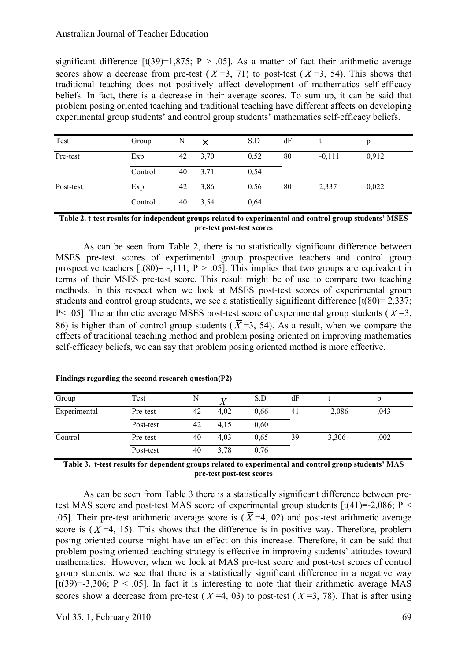significant difference  $[t(39)=1,875; P > .05]$ . As a matter of fact their arithmetic average scores show a decrease from pre-test ( $\overline{X}$ =3, 71) to post-test ( $\overline{X}$ =3, 54). This shows that traditional teaching does not positively affect development of mathematics self-efficacy beliefs. In fact, there is a decrease in their average scores. To sum up, it can be said that problem posing oriented teaching and traditional teaching have different affects on developing experimental group students' and control group students' mathematics self-efficacy beliefs.

| Test      | Group   | N  | $\overline{\mathbf{x}}$ | S.D  | dF |          | p     |
|-----------|---------|----|-------------------------|------|----|----------|-------|
| Pre-test  | Exp.    | 42 | 3,70                    | 0,52 | 80 | $-0,111$ | 0,912 |
|           | Control | 40 | 3,71                    | 0,54 |    |          |       |
| Post-test | Exp.    | 42 | 3,86                    | 0,56 | 80 | 2,337    | 0,022 |
|           | Control | 40 | 3,54                    | 0,64 |    |          |       |

**Table 2. t-test results for independent groups related to experimental and control group students' MSES pre-test post-test scores**

As can be seen from Table 2, there is no statistically significant difference between MSES pre-test scores of experimental group prospective teachers and control group prospective teachers  $[t(80) = -.111; P > .05]$ . This implies that two groups are equivalent in terms of their MSES pre-test score. This result might be of use to compare two teaching methods. In this respect when we look at MSES post-test scores of experimental group students and control group students, we see a statistically significant difference  $[t(80) = 2,337;$ P < .05]. The arithmetic average MSES post-test score of experimental group students ( $\overline{X}$  =3, 86) is higher than of control group students ( $\overline{X}$ =3, 54). As a result, when we compare the effects of traditional teaching method and problem posing oriented on improving mathematics self-efficacy beliefs, we can say that problem posing oriented method is more effective.

| Group        | Test      | N  |      | S.D  | dF |          |      |  |
|--------------|-----------|----|------|------|----|----------|------|--|
| Experimental | Pre-test  | 42 | 4,02 | 0.66 | 41 | $-2,086$ | ,043 |  |
|              | Post-test | 42 | 4,15 | 0.60 |    |          |      |  |
| Control      | Pre-test  | 40 | 4.03 | 0.65 | 39 | 3,306    | ,002 |  |
|              | Post-test | 40 | 3,78 | 0,76 |    |          |      |  |

**Findings regarding the second research question(P2)**

**Table 3. t-test results for dependent groups related to experimental and control group students' MAS pre-test post-test scores**

As can be seen from Table 3 there is a statistically significant difference between pretest MAS score and post-test MAS score of experimental group students  $[t(41)=2.086; P <$ .05]. Their pre-test arithmetic average score is ( $\overline{X}$ =4, 02) and post-test arithmetic average score is ( $\overline{X}$ =4, 15). This shows that the difference is in positive way. Therefore, problem posing oriented course might have an effect on this increase. Therefore, it can be said that problem posing oriented teaching strategy is effective in improving students' attitudes toward mathematics. However, when we look at MAS pre-test score and post-test scores of control group students, we see that there is a statistically significant difference in a negative way [t(39)=-3,306; P < .05]. In fact it is interesting to note that their arithmetic average MAS scores show a decrease from pre-test ( $\overline{X}$ =4, 03) to post-test ( $\overline{X}$ =3, 78). That is after using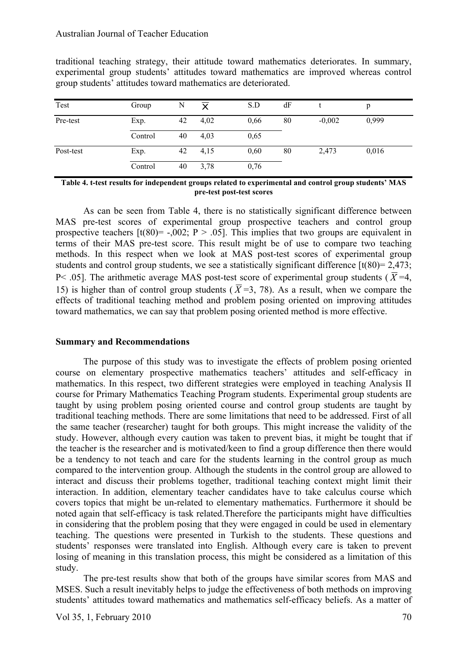traditional teaching strategy, their attitude toward mathematics deteriorates. In summary, experimental group students' attitudes toward mathematics are improved whereas control group students' attitudes toward mathematics are deteriorated.

| Test      | Group   | N  | $\overline{\mathsf{x}}$ | S.D  | dF |          | p     |
|-----------|---------|----|-------------------------|------|----|----------|-------|
| Pre-test  | Exp.    | 42 | 4,02                    | 0,66 | 80 | $-0,002$ | 0,999 |
|           | Control | 40 | 4,03                    | 0,65 |    |          |       |
| Post-test | Exp.    | 42 | 4,15                    | 0,60 | 80 | 2,473    | 0,016 |
|           | Control | 40 | 3,78                    | 0,76 |    |          |       |

**Table 4. t-test results for independent groups related to experimental and control group students' MAS pre-test post-test scores**

As can be seen from Table 4, there is no statistically significant difference between MAS pre-test scores of experimental group prospective teachers and control group prospective teachers  $[t(80) = -.002; P > .05]$ . This implies that two groups are equivalent in terms of their MAS pre-test score. This result might be of use to compare two teaching methods. In this respect when we look at MAS post-test scores of experimental group students and control group students, we see a statistically significant difference  $\lceil t(80) = 2,473$ ; P < .05]. The arithmetic average MAS post-test score of experimental group students ( $\overline{X}$ =4, 15) is higher than of control group students ( $\overline{X}$ =3, 78). As a result, when we compare the effects of traditional teaching method and problem posing oriented on improving attitudes toward mathematics, we can say that problem posing oriented method is more effective.

#### **Summary and Recommendations**

The purpose of this study was to investigate the effects of problem posing oriented course on elementary prospective mathematics teachers' attitudes and self-efficacy in mathematics. In this respect, two different strategies were employed in teaching Analysis II course for Primary Mathematics Teaching Program students. Experimental group students are taught by using problem posing oriented course and control group students are taught by traditional teaching methods. There are some limitations that need to be addressed. First of all the same teacher (researcher) taught for both groups. This might increase the validity of the study. However, although every caution was taken to prevent bias, it might be tought that if the teacher is the researcher and is motivated/keen to find a group difference then there would be a tendency to not teach and care for the students learning in the control group as much compared to the intervention group. Although the students in the control group are allowed to interact and discuss their problems together, traditional teaching context might limit their interaction. In addition, elementary teacher candidates have to take calculus course which covers topics that might be un-related to elementary mathematics. Furthermore it should be noted again that self-efficacy is task related.Therefore the participants might have difficulties in considering that the problem posing that they were engaged in could be used in elementary teaching. The questions were presented in Turkish to the students. These questions and students' responses were translated into English. Although every care is taken to prevent losing of meaning in this translation process, this might be considered as a limitation of this study.

The pre-test results show that both of the groups have similar scores from MAS and MSES. Such a result inevitably helps to judge the effectiveness of both methods on improving students' attitudes toward mathematics and mathematics self-efficacy beliefs. As a matter of

Vol 35, 1, February 2010  $\sqrt{20}$  70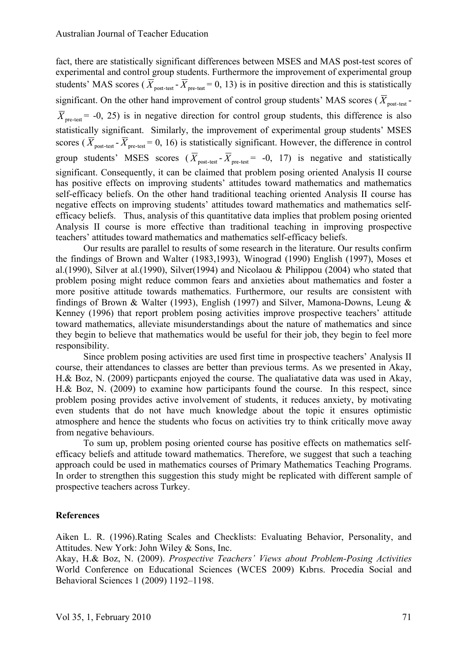fact, there are statistically significant differences between MSES and MAS post-test scores of experimental and control group students. Furthermore the improvement of experimental group students' MAS scores ( $\overline{X}_{post-test}$  -  $\overline{X}_{pre-test}$  = 0, 13) is in positive direction and this is statistically significant. On the other hand improvement of control group students' MAS scores ( $\overline{X}_{\text{post-test}}$ - $\overline{X}_{\text{pre-test}}$  = -0, 25) is in negative direction for control group students, this difference is also statistically significant. Similarly, the improvement of experimental group students' MSES scores ( $\overline{X}_{\text{post-test}}$  -  $\overline{X}_{\text{pre-test}}$  = 0, 16) is statistically significant. However, the difference in control group students' MSES scores  $(\overline{X}_{post-test} - \overline{X}_{pre-test} = -0, 17)$  is negative and statistically significant. Consequently, it can be claimed that problem posing oriented Analysis II course has positive effects on improving students' attitudes toward mathematics and mathematics self-efficacy beliefs. On the other hand traditional teaching oriented Analysis II course has negative effects on improving students' attitudes toward mathematics and mathematics selfefficacy beliefs. Thus, analysis of this quantitative data implies that problem posing oriented Analysis II course is more effective than traditional teaching in improving prospective teachers' attitudes toward mathematics and mathematics self-efficacy beliefs.

Our results are parallel to results of some research in the literature. Our results confirm the findings of Brown and Walter (1983,1993), Winograd (1990) English (1997), Moses et al.(1990), Silver at al.(1990), Silver(1994) and Nicolaou & Philippou (2004) who stated that problem posing might reduce common fears and anxieties about mathematics and foster a more positive attitude towards mathematics. Furthermore, our results are consistent with findings of Brown & Walter (1993), English (1997) and Silver, Mamona-Downs, Leung & Kenney (1996) that report problem posing activities improve prospective teachers' attitude toward mathematics, alleviate misunderstandings about the nature of mathematics and since they begin to believe that mathematics would be useful for their job, they begin to feel more responsibility.

Since problem posing activities are used first time in prospective teachers' Analysis II course, their attendances to classes are better than previous terms. As we presented in Akay, H.& Boz, N. (2009) particpants enjoyed the course. The qualiatative data was used in Akay, H.& Boz, N. (2009) to examine how participants found the course. In this respect, since problem posing provides active involvement of students, it reduces anxiety, by motivating even students that do not have much knowledge about the topic it ensures optimistic atmosphere and hence the students who focus on activities try to think critically move away from negative behaviours.

To sum up, problem posing oriented course has positive effects on mathematics selfefficacy beliefs and attitude toward mathematics. Therefore, we suggest that such a teaching approach could be used in mathematics courses of Primary Mathematics Teaching Programs. In order to strengthen this suggestion this study might be replicated with different sample of prospective teachers across Turkey.

#### **References**

Aiken L. R. (1996).Rating Scales and Checklists: Evaluating Behavior, Personality, and Attitudes. New York: John Wiley & Sons, Inc.

Akay, H.& Boz, N. (2009). *Prospective Teachers' Views about Problem-Posing Activities* World Conference on Educational Sciences (WCES 2009) Kıbrıs. Procedia Social and Behavioral Sciences 1 (2009) 1192–1198.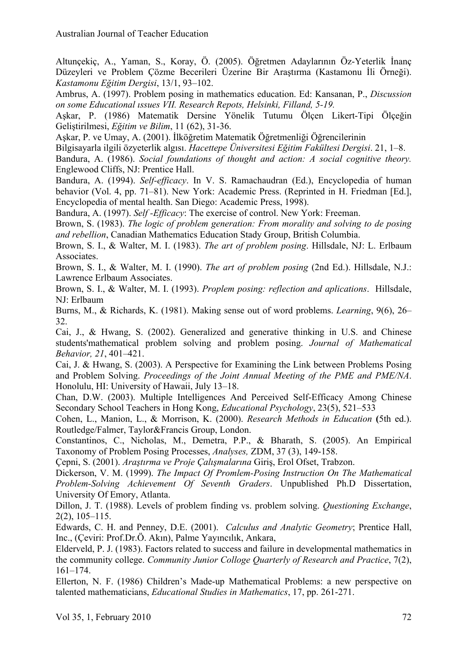Altunçekiç, A., Yaman, S., Koray, Ö. (2005). Öğretmen Adaylarının Öz-Yeterlik İnanç Düzeyleri ve Problem Çözme Becerileri Üzerine Bir Araştırma (Kastamonu İli Örneği). *Kastamonu Eğitim Dergisi*, 13/1, 93–102.

Ambrus, A. (1997). Problem posing in mathematics education. Ed: Kansanan, P., *Discussion on some Educational ıssues VII. Research Repots, Helsinki, Filland, 5-19.*

Aşkar, P. (1986) Matematik Dersine Yönelik Tutumu Ölçen Likert-Tipi Ölçeğin Geliştirilmesi, *Eğitim ve Bilim*, 11 (62), 31-36.

Aşkar, P. ve Umay, A. (2001). İlköğretim Matematik Öğretmenliği Öğrencilerinin

Bilgisayarla ilgili özyeterlik algısı. *Hacettepe Üniversitesi Eğitim Fakültesi Dergisi*. 21, 1–8.

Bandura, A. (1986). *Social foundations of thought and action: A social cognitive theory.*  Englewood Cliffs, NJ: Prentice Hall.

Bandura, A. (1994). *Self-efficacy*. In V. S. Ramachaudran (Ed.), Encyclopedia of human behavior (Vol. 4, pp. 71–81). New York: Academic Press. (Reprinted in H. Friedman [Ed.], Encyclopedia of mental health. San Diego: Academic Press, 1998).

Bandura, A. (1997). *Self -Efficacy*: The exercise of control. New York: Freeman.

Brown, S. (1983). *The logic of problem generation: From morality and solving to de posing and rebellion*, Canadian Mathematics Education Stady Group, British Columbia.

Brown, S. I., & Walter, M. I. (1983). *The art of problem posing*. Hillsdale, NJ: L. Erlbaum Associates.

Brown, S. I., & Walter, M. I. (1990). *The art of problem posing* (2nd Ed.). Hillsdale, N.J.: Lawrence Erlbaum Associates.

Brown, S. I., & Walter, M. I. (1993). *Proplem posing: reflection and aplications*. Hillsdale, NJ: Erlbaum

Burns, M., & Richards, K. (1981). Making sense out of word problems. *Learning*, 9(6), 26– 32.

Cai, J., & Hwang, S. (2002). Generalized and generative thinking in U.S. and Chinese students'mathematical problem solving and problem posing. *Journal of Mathematical Behavior, 21*, 401–421.

Cai, J. & Hwang, S. (2003). A Perspective for Examining the Link between Problems Posing and Problem Solving. *Proceedings of the Joint Annual Meeting of the PME and PME/NA*. Honolulu, HI: University of Hawaii, July 13–18.

Chan, D.W. (2003). Multiple Intelligences And Perceived Self-Efficacy Among Chinese Secondary School Teachers in Hong Kong, *Educational Psychology*, 23(5), 521–533

Cohen, L., Manion, L., & Morrison, K. (2000). *Research Methods in Education* **(**5th ed.). Routledge/Falmer, Taylor&Francis Group, London.

Constantinos, C., Nicholas, M., Demetra, P.P., & Bharath, S. (2005). An Empirical Taxonomy of Problem Posing Processes, *Analyses,* ZDM, 37 (3), 149-158.

Çepni, S. (2001). *Araştırma ve Proje Çalışmalarına* Giriş, Erol Ofset, Trabzon.

Dickerson, V. M. (1999). *The Impact Of Promlem-Posing Instruction On The Mathematical Problem-Solving Achievement Of Seventh Graders*. Unpublished Ph.D Dissertation, University Of Emory, Atlanta.

Dillon, J. T. (1988). Levels of problem finding vs. problem solving. *Questioning Exchange*, 2(2), 105–115.

Edwards, C. H. and Penney, D.E. (2001). *Calculus and Analytic Geometry*; Prentice Hall, Inc., (Çeviri: Prof.Dr.Ö. Akın), Palme Yayıncılık, Ankara,

Elderveld, P. J. (1983). Factors related to success and failure in developmental mathematics in the community college. *Community Junior Colloge Quarterly of Research and Practice*, 7(2), 161–174.

Ellerton, N. F. (1986) Children's Made-up Mathematical Problems: a new perspective on talented mathematicians, *Educational Studies in Mathematics*, 17, pp. 261-271.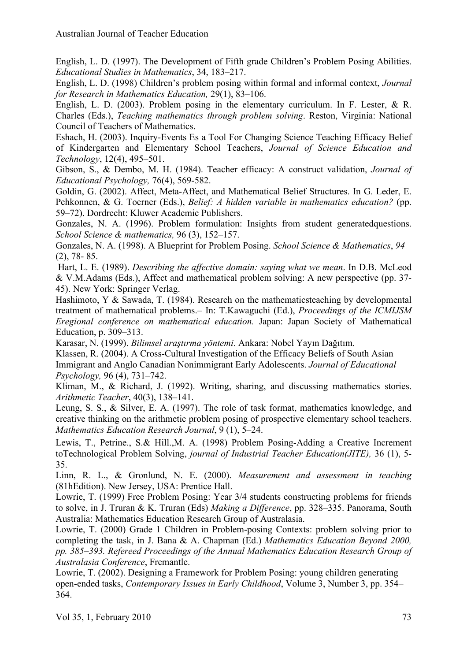English, L. D. (1997). The Development of Fifth grade Children's Problem Posing Abilities. *Educational Studies in Mathematics*, 34, 183–217.

English, L. D. (1998) Children's problem posing within formal and informal context, *Journal for Research in Mathematics Education,* 29(1), 83–106.

English, L. D. (2003). Problem posing in the elementary curriculum. In F. Lester, & R. Charles (Eds.), *Teaching mathematics through problem solving*. Reston, Virginia: National Council of Teachers of Mathematics.

Eshach, H. (2003). Inquiry-Events Es a Tool For Changing Science Teaching Efficacy Belief of Kindergarten and Elementary School Teachers, *Journal of Science Education and Technology*, 12(4), 495–501.

Gibson, S., & Dembo, M. H. (1984). Teacher efficacy: A construct validation, *Journal of Educational Psychology,* 76(4), 569-582.

Goldin, G. (2002). Affect, Meta-Affect, and Mathematical Belief Structures. In G. Leder, E. Pehkonnen, & G. Toerner (Eds.), *Belief: A hidden variable in mathematics education?* (pp. 59–72). Dordrecht: Kluwer Academic Publishers.

Gonzales, N. A. (1996). Problem formulation: Insights from student generatedquestions. *School Science & mathematics,* 96 (3), 152–157.

Gonzales, N. A. (1998). A Blueprint for Problem Posing. *School Science & Mathematics*, *94*  (2), 78- 85.

Hart, L. E. (1989). *Describing the affective domain: saying what we mean*. In D.B. McLeod & V.M.Adams (Eds.), Affect and mathematical problem solving: A new perspective (pp. 37- 45). New York: Springer Verlag.

Hashimoto, Y & Sawada, T. (1984). Research on the mathematicsteaching by developmental treatment of mathematical problems.– In: T.Kawaguchi (Ed.), *Proceedings of the ICMIJSM Eregional conference on mathematical education.* Japan: Japan Society of Mathematical Education, p. 309–313.

Karasar, N. (1999). *Bilimsel araştırma yöntemi*. Ankara: Nobel Yayın Dağıtım.

Klassen, R. (2004). A Cross-Cultural Investigation of the Efficacy Beliefs of South Asian Immigrant and Anglo Canadian Nonimmigrant Early Adolescents. *Journal of Educational Psychology,* 96 (4), 731–742.

Kliman, M., & Richard, J. (1992). Writing, sharing, and discussing mathematics stories. *Arithmetic Teacher*, 40(3), 138–141.

Leung, S. S., & Silver, E. A. (1997). The role of task format, mathematics knowledge, and creative thinking on the arithmetic problem posing of prospective elementary school teachers. *Mathematics Education Research Journal*, 9 (1), 5–24.

Lewis, T., Petrine., S.& Hill.,M. A. (1998) Problem Posing-Adding a Creative Increment toTechnological Problem Solving, *journal of Industrial Teacher Education(JITE),* 36 (1), 5- 35.

Linn, R. L., & Gronlund, N. E. (2000). *Measurement and assessment in teaching* (81hEdition). New Jersey, USA: Prentice Hall.

Lowrie, T. (1999) Free Problem Posing: Year 3/4 students constructing problems for friends to solve, in J. Truran & K. Truran (Eds) *Making a Difference*, pp. 328–335. Panorama, South Australia: Mathematics Education Research Group of Australasia.

Lowrie, T. (2000) Grade 1 Children in Problem-posing Contexts: problem solving prior to completing the task, in J. Bana & A. Chapman (Ed.) *Mathematics Education Beyond 2000, pp. 385–393. Refereed Proceedings of the Annual Mathematics Education Research Group of Australasia Conference*, Fremantle.

Lowrie, T. (2002). Designing a Framework for Problem Posing: young children generating open-ended tasks, *Contemporary Issues in Early Childhood*, Volume 3, Number 3, pp. 354– 364.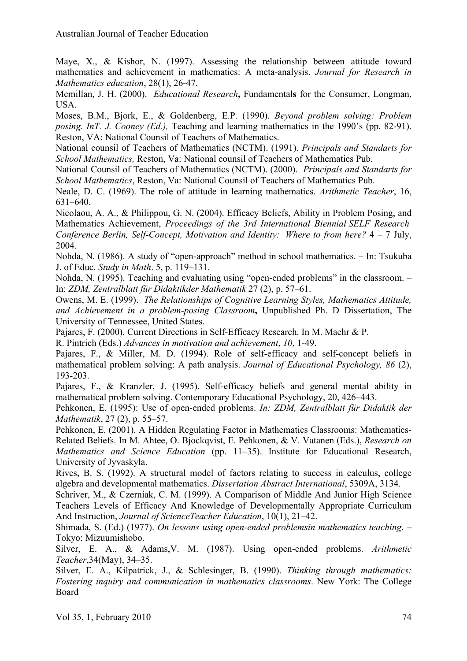Maye, X., & Kishor, N. (1997). Assessing the relationship between attitude toward mathematics and achievement in mathematics: A meta-analysis. *Journal for Research in Mathematics education*, 28(1), 26-47.

Mcmillan, J. H. (2000). *Educational Research***,** Fundamental**s** for the Consumer, Longman, USA.

Moses, B.M., Bjork, E., & Goldenberg, E.P. (1990). *Beyond problem solving: Problem posing. InT. J. Cooney (Ed.),* Teaching and learning mathematics in the 1990's (pp. 82-91). Reston, VA: National Counsil of Teachers of Mathematics.

National counsil of Teachers of Mathematics (NCTM). (1991). *Principals and Standarts for School Mathematics,* Reston, Va: National counsil of Teachers of Mathematics Pub.

National Counsil of Teachers of Mathematics (NCTM). (2000). *Principals and Standarts for School Mathematics*, Reston, Va: National Counsil of Teachers of Mathematics Pub.

Neale, D. C. (1969). The role of attitude in learning mathematics. *Arithmetic Teacher*, 16, 631–640.

Nicolaou, A. A., & Philippou, G. N. (2004). Efficacy Beliefs, Ability in Problem Posing, and Mathematics Achievement, *Proceedings of the 3rd International Biennial SELF Research Conference Berlin, Self-Concept, Motivation and Identity: Where to from here?* 4 – 7 July, 2004.

Nohda, N. (1986). A study of "open-approach" method in school mathematics. – In: Tsukuba J. of Educ. *Study in Math*. 5, p. 119–131.

Nohda, N. (1995). Teaching and evaluating using "open-ended problems" in the classroom. – In: *ZDM, Zentralblatt für Didaktikder Mathematik* 27 (2), p. 57–61.

Owens, M. E. (1999). *The Relationships of Cognitive Learning Styles, Mathematics Attitude, and Achievement in a problem-posing Classroom***,** Unpublished Ph. D Dissertation, The University of Tennessee, United States.

Pajares, F. (2000). Current Directions in Self-Efficacy Research. In M. Maehr & P.

R. Pintrich (Eds.) *Advances in motivation and achievement*, *10*, 1-49.

Pajares, F., & Miller, M. D. (1994). Role of self-efficacy and self-concept beliefs in mathematical problem solving: A path analysis. *Journal of Educational Psychology, 86* (2), 193-203.

Pajares, F., & Kranzler, J. (1995). Self-efficacy beliefs and general mental ability in mathematical problem solving. Contemporary Educational Psychology, 20, 426–443.

Pehkonen, E. (1995): Use of open-ended problems. *In: ZDM, Zentralblatt für Didaktik der Mathematik*, 27 (2), p. 55–57.

Pehkonen, E. (2001). A Hidden Regulating Factor in Mathematics Classrooms: Mathematics-Related Beliefs. In M. Ahtee, O. Bjockqvist, E. Pehkonen, & V. Vatanen (Eds.), *Research on Mathematics and Science Education* (pp. 11–35). Institute for Educational Research, University of Jyvaskyla.

Rives, B. S. (1992). A structural model of factors relating to success in calculus, college algebra and developmental mathematics. *Dissertation Abstract International*, 5309A, 3134.

Schriver, M., & Czerniak, C. M. (1999). A Comparison of Middle And Junior High Science Teachers Levels of Efficacy And Knowledge of Developmentally Appropriate Curriculum And Instruction, *Journal of ScienceTeacher Education*, 10(1), 21–42.

Shimada, S. (Ed.) (1977). *On lessons using open-ended problemsin mathematics teaching*. – Tokyo: Mizuumishobo.

Silver, E. A., & Adams,V. M. (1987). Using open-ended problems. *Arithmetic Teacher*,34(May), 34–35.

Silver, E. A., Kilpatrick, J., & Schlesinger, B. (1990). *Thinking through mathematics: Fostering inquiry and communication in mathematics classrooms*. New York: The College Board